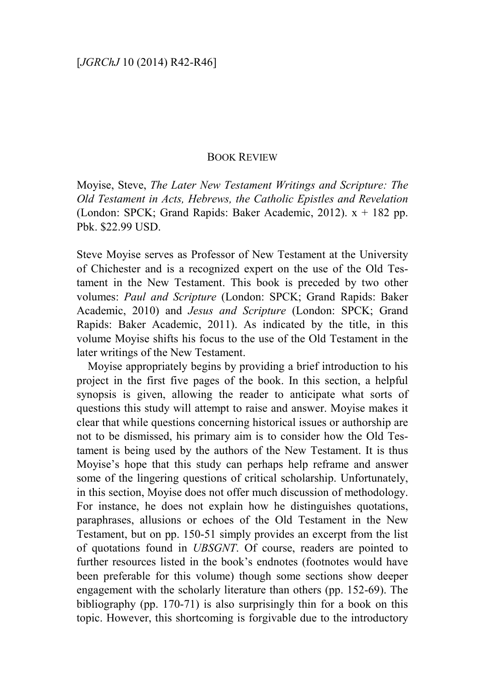## BOOK REVIEW

Moyise, Steve, *The Later New Testament Writings and Scripture: The Old Testament in Acts, Hebrews, the Catholic Epistles and Revelation* (London: SPCK; Grand Rapids: Baker Academic, 2012).  $x + 182$  pp. Pbk. \$22.99 USD.

Steve Moyise serves as Professor of New Testament at the University of Chichester and is a recognized expert on the use of the Old Testament in the New Testament. This book is preceded by two other volumes: *Paul and Scripture* (London: SPCK; Grand Rapids: Baker Academic, 2010) and *Jesus and Scripture* (London: SPCK; Grand Rapids: Baker Academic, 2011). As indicated by the title, in this volume Moyise shifts his focus to the use of the Old Testament in the later writings of the New Testament.

Moyise appropriately begins by providing a brief introduction to his project in the first five pages of the book. In this section, a helpful synopsis is given, allowing the reader to anticipate what sorts of questions this study will attempt to raise and answer. Moyise makes it clear that while questions concerning historical issues or authorship are not to be dismissed, his primary aim is to consider how the Old Testament is being used by the authors of the New Testament. It is thus Moyise's hope that this study can perhaps help reframe and answer some of the lingering questions of critical scholarship. Unfortunately, in this section, Moyise does not offer much discussion of methodology. For instance, he does not explain how he distinguishes quotations, paraphrases, allusions or echoes of the Old Testament in the New Testament, but on pp. 150-51 simply provides an excerpt from the list of quotations found in *UBSGNT*. Of course, readers are pointed to further resources listed in the book's endnotes (footnotes would have been preferable for this volume) though some sections show deeper engagement with the scholarly literature than others (pp. 152-69). The bibliography (pp. 170-71) is also surprisingly thin for a book on this topic. However, this shortcoming is forgivable due to the introductory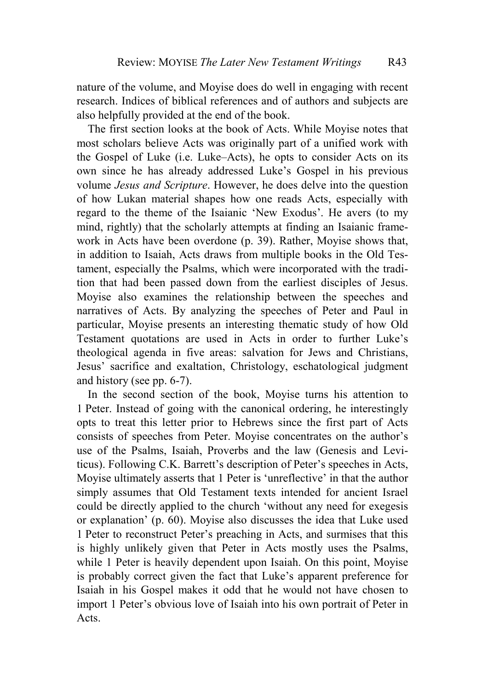nature of the volume, and Moyise does do well in engaging with recent research. Indices of biblical references and of authors and subjects are also helpfully provided at the end of the book.

The first section looks at the book of Acts. While Moyise notes that most scholars believe Acts was originally part of a unified work with the Gospel of Luke (i.e. Luke–Acts), he opts to consider Acts on its own since he has already addressed Luke's Gospel in his previous volume *Jesus and Scripture*. However, he does delve into the question of how Lukan material shapes how one reads Acts, especially with regard to the theme of the Isaianic 'New Exodus'. He avers (to my mind, rightly) that the scholarly attempts at finding an Isaianic framework in Acts have been overdone (p. 39). Rather, Moyise shows that, in addition to Isaiah, Acts draws from multiple books in the Old Testament, especially the Psalms, which were incorporated with the tradition that had been passed down from the earliest disciples of Jesus. Moyise also examines the relationship between the speeches and narratives of Acts. By analyzing the speeches of Peter and Paul in particular, Moyise presents an interesting thematic study of how Old Testament quotations are used in Acts in order to further Luke's theological agenda in five areas: salvation for Jews and Christians, Jesus' sacrifice and exaltation, Christology, eschatological judgment and history (see pp. 6-7).

In the second section of the book, Moyise turns his attention to 1 Peter. Instead of going with the canonical ordering, he interestingly opts to treat this letter prior to Hebrews since the first part of Acts consists of speeches from Peter. Moyise concentrates on the author's use of the Psalms, Isaiah, Proverbs and the law (Genesis and Leviticus). Following C.K. Barrett's description of Peter's speeches in Acts, Moyise ultimately asserts that 1 Peter is 'unreflective' in that the author simply assumes that Old Testament texts intended for ancient Israel could be directly applied to the church 'without any need for exegesis or explanation' (p. 60). Moyise also discusses the idea that Luke used 1 Peter to reconstruct Peter's preaching in Acts, and surmises that this is highly unlikely given that Peter in Acts mostly uses the Psalms, while 1 Peter is heavily dependent upon Isaiah. On this point, Moyise is probably correct given the fact that Luke's apparent preference for Isaiah in his Gospel makes it odd that he would not have chosen to import 1 Peter's obvious love of Isaiah into his own portrait of Peter in Acts.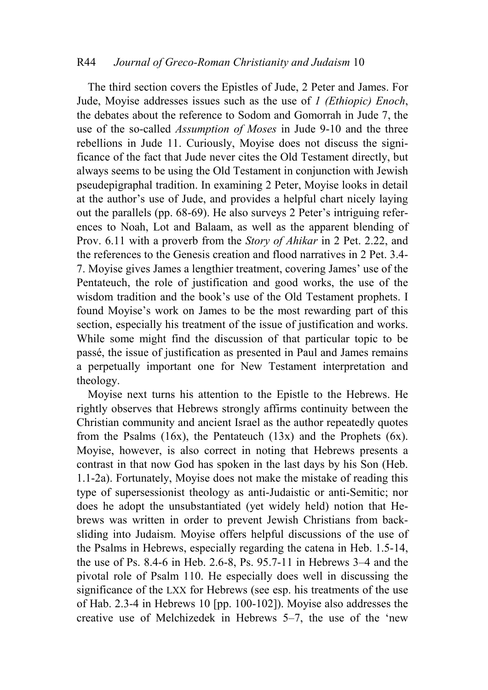## R44 *Journal of Greco-Roman Christianity and Judaism* 10

The third section covers the Epistles of Jude, 2 Peter and James. For Jude, Moyise addresses issues such as the use of *1 (Ethiopic) Enoch*, the debates about the reference to Sodom and Gomorrah in Jude 7, the use of the so-called *Assumption of Moses* in Jude 9-10 and the three rebellions in Jude 11. Curiously, Moyise does not discuss the significance of the fact that Jude never cites the Old Testament directly, but always seems to be using the Old Testament in conjunction with Jewish pseudepigraphal tradition. In examining 2 Peter, Moyise looks in detail at the author's use of Jude, and provides a helpful chart nicely laying out the parallels (pp. 68-69). He also surveys 2 Peter's intriguing references to Noah, Lot and Balaam, as well as the apparent blending of Prov. 6.11 with a proverb from the *Story of Ahikar* in 2 Pet. 2.22, and the references to the Genesis creation and flood narratives in 2 Pet. 3.4- 7. Moyise gives James a lengthier treatment, covering James' use of the Pentateuch, the role of justification and good works, the use of the wisdom tradition and the book's use of the Old Testament prophets. I found Moyise's work on James to be the most rewarding part of this section, especially his treatment of the issue of justification and works. While some might find the discussion of that particular topic to be passé, the issue of justification as presented in Paul and James remains a perpetually important one for New Testament interpretation and theology.

Moyise next turns his attention to the Epistle to the Hebrews. He rightly observes that Hebrews strongly affirms continuity between the Christian community and ancient Israel as the author repeatedly quotes from the Psalms  $(16x)$ , the Pentateuch  $(13x)$  and the Prophets  $(6x)$ . Moyise, however, is also correct in noting that Hebrews presents a contrast in that now God has spoken in the last days by his Son (Heb. 1.1-2a). Fortunately, Moyise does not make the mistake of reading this type of supersessionist theology as anti-Judaistic or anti-Semitic; nor does he adopt the unsubstantiated (yet widely held) notion that Hebrews was written in order to prevent Jewish Christians from backsliding into Judaism. Moyise offers helpful discussions of the use of the Psalms in Hebrews, especially regarding the catena in Heb. 1.5-14, the use of Ps. 8.4-6 in Heb. 2.6-8, Ps. 95.7-11 in Hebrews 3–4 and the pivotal role of Psalm 110. He especially does well in discussing the significance of the LXX for Hebrews (see esp. his treatments of the use of Hab. 2.3-4 in Hebrews 10 [pp. 100-102]). Moyise also addresses the creative use of Melchizedek in Hebrews 5–7, the use of the 'new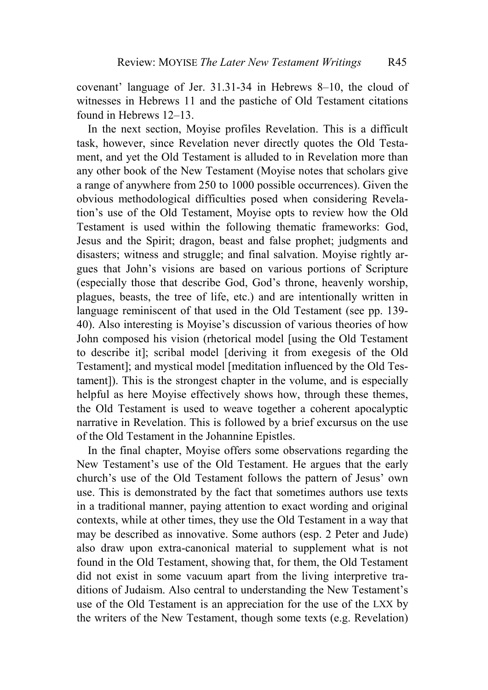covenant' language of Jer. 31.31-34 in Hebrews 8–10, the cloud of witnesses in Hebrews 11 and the pastiche of Old Testament citations found in Hebrews 12–13.

In the next section, Moyise profiles Revelation. This is a difficult task, however, since Revelation never directly quotes the Old Testament, and yet the Old Testament is alluded to in Revelation more than any other book of the New Testament (Moyise notes that scholars give a range of anywhere from 250 to 1000 possible occurrences). Given the obvious methodological difficulties posed when considering Revelation's use of the Old Testament, Moyise opts to review how the Old Testament is used within the following thematic frameworks: God, Jesus and the Spirit; dragon, beast and false prophet; judgments and disasters; witness and struggle; and final salvation. Moyise rightly argues that John's visions are based on various portions of Scripture (especially those that describe God, God's throne, heavenly worship, plagues, beasts, the tree of life, etc.) and are intentionally written in language reminiscent of that used in the Old Testament (see pp. 139- 40). Also interesting is Moyise's discussion of various theories of how John composed his vision (rhetorical model [using the Old Testament to describe it]; scribal model [deriving it from exegesis of the Old Testament]; and mystical model [meditation influenced by the Old Testament]). This is the strongest chapter in the volume, and is especially helpful as here Moyise effectively shows how, through these themes, the Old Testament is used to weave together a coherent apocalyptic narrative in Revelation. This is followed by a brief excursus on the use of the Old Testament in the Johannine Epistles.

In the final chapter, Moyise offers some observations regarding the New Testament's use of the Old Testament. He argues that the early church's use of the Old Testament follows the pattern of Jesus' own use. This is demonstrated by the fact that sometimes authors use texts in a traditional manner, paying attention to exact wording and original contexts, while at other times, they use the Old Testament in a way that may be described as innovative. Some authors (esp. 2 Peter and Jude) also draw upon extra-canonical material to supplement what is not found in the Old Testament, showing that, for them, the Old Testament did not exist in some vacuum apart from the living interpretive traditions of Judaism. Also central to understanding the New Testament's use of the Old Testament is an appreciation for the use of the LXX by the writers of the New Testament, though some texts (e.g. Revelation)